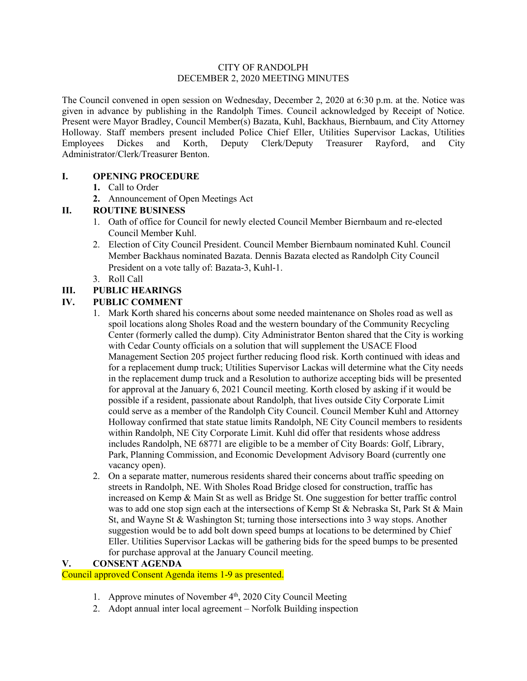#### CITY OF RANDOLPH DECEMBER 2, 2020 MEETING MINUTES

The Council convened in open session on Wednesday, December 2, 2020 at 6:30 p.m. at the. Notice was given in advance by publishing in the Randolph Times. Council acknowledged by Receipt of Notice. Present were Mayor Bradley, Council Member(s) Bazata, Kuhl, Backhaus, Biernbaum, and City Attorney Holloway. Staff members present included Police Chief Eller, Utilities Supervisor Lackas, Utilities Employees Dickes and Korth, Deputy Clerk/Deputy Treasurer Rayford, and City Administrator/Clerk/Treasurer Benton.

## **I. OPENING PROCEDURE**

- **1.** Call to Order
- **2.** Announcement of Open Meetings Act

## **II. ROUTINE BUSINESS**

- 1. Oath of office for Council for newly elected Council Member Biernbaum and re-elected Council Member Kuhl.
- 2. Election of City Council President. Council Member Biernbaum nominated Kuhl. Council Member Backhaus nominated Bazata. Dennis Bazata elected as Randolph City Council President on a vote tally of: Bazata-3, Kuhl-1.
- 3. Roll Call

# **III. PUBLIC HEARINGS**

## **IV. PUBLIC COMMENT**

- 1. Mark Korth shared his concerns about some needed maintenance on Sholes road as well as spoil locations along Sholes Road and the western boundary of the Community Recycling Center (formerly called the dump). City Administrator Benton shared that the City is working with Cedar County officials on a solution that will supplement the USACE Flood Management Section 205 project further reducing flood risk. Korth continued with ideas and for a replacement dump truck; Utilities Supervisor Lackas will determine what the City needs in the replacement dump truck and a Resolution to authorize accepting bids will be presented for approval at the January 6, 2021 Council meeting. Korth closed by asking if it would be possible if a resident, passionate about Randolph, that lives outside City Corporate Limit could serve as a member of the Randolph City Council. Council Member Kuhl and Attorney Holloway confirmed that state statue limits Randolph, NE City Council members to residents within Randolph, NE City Corporate Limit. Kuhl did offer that residents whose address includes Randolph, NE 68771 are eligible to be a member of City Boards: Golf, Library, Park, Planning Commission, and Economic Development Advisory Board (currently one vacancy open).
- 2. On a separate matter, numerous residents shared their concerns about traffic speeding on streets in Randolph, NE. With Sholes Road Bridge closed for construction, traffic has increased on Kemp & Main St as well as Bridge St. One suggestion for better traffic control was to add one stop sign each at the intersections of Kemp St & Nebraska St, Park St & Main St, and Wayne St & Washington St; turning those intersections into 3 way stops. Another suggestion would be to add bolt down speed bumps at locations to be determined by Chief Eller. Utilities Supervisor Lackas will be gathering bids for the speed bumps to be presented for purchase approval at the January Council meeting.

## **V. CONSENT AGENDA**

Council approved Consent Agenda items 1-9 as presented.

- 1. Approve minutes of November 4<sup>th</sup>, 2020 City Council Meeting
- 2. Adopt annual inter local agreement Norfolk Building inspection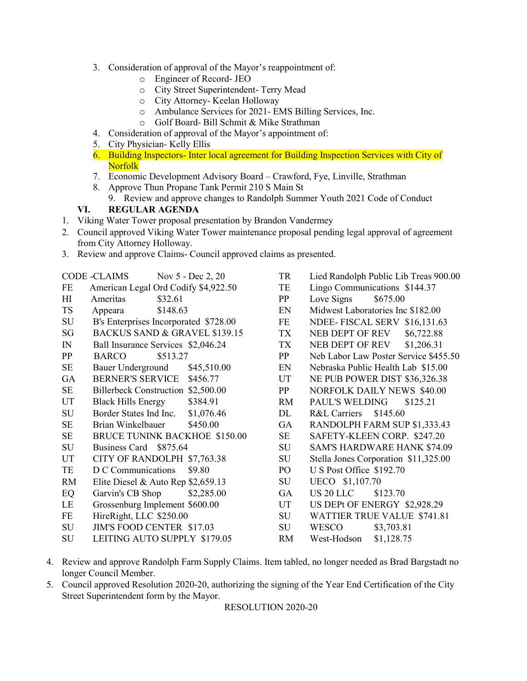- 3. Consideration of approval of the Mayor's reappointment of:
	- o Engineer of Record- JEO
	- o City Street Superintendent- Terry Mead
	- o City Attorney- Keelan Holloway
	- o Ambulance Services for 2021- EMS Billing Services, Inc.
	- o Golf Board- Bill Schmit & Mike Strathman
- 4. Consideration of approval of the Mayor's appointment of:
- 5. City Physician- Kelly Ellis
- 6. Building Inspectors- Inter local agreement for Building Inspection Services with City of Norfolk
- 7. Economic Development Advisory Board Crawford, Fye, Linville, Strathman
- 8. Approve Thun Propane Tank Permit 210 S Main St
	- 9. Review and approve changes to Randolph Summer Youth 2021 Code of Conduct

#### **VI. REGULAR AGENDA**

- 1. Viking Water Tower proposal presentation by Brandon Vandermey
- 2. Council approved Viking Water Tower maintenance proposal pending legal approval of agreement from City Attorney Holloway.
- 3. Review and approve Claims- Council approved claims as presented.

|                        | CODE -CLAIMS Nov 5 - Dec 2, 20        |            | TI             |
|------------------------|---------------------------------------|------------|----------------|
| FE                     | American Legal Ord Codify \$4,922.50  |            | TI             |
| $\mathbf{H}\mathbf{I}$ | Ameritas<br>\$32.61                   |            | PF             |
| <b>TS</b>              | \$148.63<br>Appeara                   |            | EI             |
| SU                     | B's Enterprises Incorporated \$728.00 |            | FF             |
| SG                     | BACKUS SAND & GRAVEL \$139.15         |            | T)             |
| IN                     | Ball Insurance Services \$2,046.24    |            | T)             |
| PP                     | BARCO                                 | \$513.27   | PF             |
| SE                     | Bauer Underground \$45,510.00         |            | EI             |
| GA                     | BERNER'S SERVICE \$456.77             |            | $U^{\prime}$   |
| <b>SE</b>              | Billerbeck Construction \$2,500.00    |            | PF             |
| <b>UT</b>              | <b>Black Hills Energy</b>             | \$384.91   | R <sub>1</sub> |
| SU                     | Border States Ind Inc. \$1,076.46     |            | D)             |
| SE.                    | Brian Winkelbauer                     | \$450.00   | G,             |
| SE                     | <b>BRUCE TUNINK BACKHOE \$150.00</b>  |            | SI             |
| SU                     | Business Card \$875.64                |            | Sl             |
| UT                     | CITY OF RANDOLPH \$7,763.38           |            | Sl             |
| TE                     | D C Communications                    | \$9.80     | P(             |
| <b>RM</b>              | Elite Diesel & Auto Rep $$2,659.13$   |            | Sl             |
| EQ                     | Garvin's CB Shop                      | \$2,285.00 | G,             |
| LE                     | Grossenburg Implement \$600.00        |            | U              |
| FE                     | HireRight, LLC \$250.00               |            | Sl             |
| SU                     | JIM'S FOOD CENTER \$17.03             |            | Sl             |
| <b>SU</b>              | LEITING AUTO SUPPLY \$179.05          |            | R١             |

- R Lied Randolph Public Lib Treas 900.00 E Lingo Communications \$144.37 P Love Signs \$675.00 N Midwest Laboratories Inc \$182.00 E NDEE- FISCAL SERV \$16,131.63  $X$  NEB DEPT OF REV  $$6,722.88$  $X$  NEB DEPT OF REV  $$1,206.31$ P Neb Labor Law Poster Service \$455.50 N Nebraska Public Health Lab \$15.00 T NE PUB POWER DIST \$36,326.38 P NORFOLK DAILY NEWS \$40.00 M PAUL'S WELDING \$125.21 L R&L Carriers \$145.60 A RANDOLPH FARM SUP \$1,333.43 SAFETY-KLEEN CORP. \$247.20 SU SAM'S HARDWARE HANK \$74.09 J Stella Jones Corporation \$11,325.00 D U S Post Office \$192.70 J UECO \$1,107.70 A US 20 LLC \$123.70 UT US DEPt OF ENERGY \$2,928.29 J WATTIER TRUE VALUE \$741.81 J WESCO \$3,703.81 RM West-Hodson \$1,128.75
- 4. Review and approve Randolph Farm Supply Claims. Item tabled, no longer needed as Brad Bargstadt no longer Council Member.
- 5. Council approved Resolution 2020-20, authorizing the signing of the Year End Certification of the City Street Superintendent form by the Mayor.

RESOLUTION 2020-20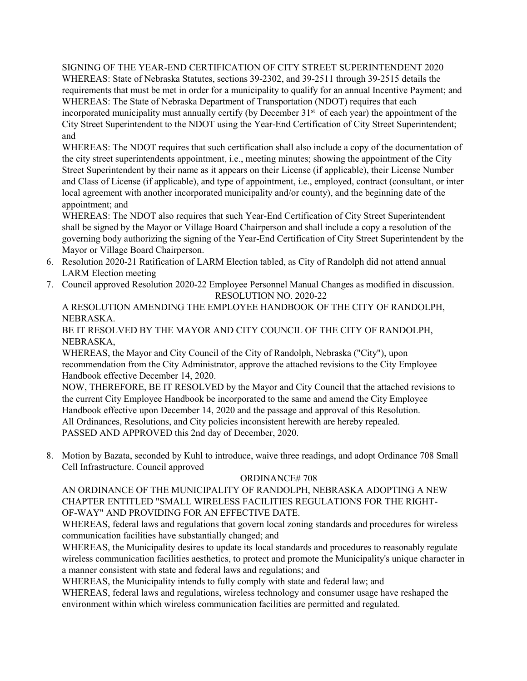SIGNING OF THE YEAR-END CERTIFICATION OF CITY STREET SUPERINTENDENT 2020 WHEREAS: State of Nebraska Statutes, sections 39-2302, and 39-2511 through 39-2515 details the requirements that must be met in order for a municipality to qualify for an annual Incentive Payment; and WHEREAS: The State of Nebraska Department of Transportation (NDOT) requires that each incorporated municipality must annually certify (by December  $31<sup>st</sup>$  of each year) the appointment of the City Street Superintendent to the NDOT using the Year-End Certification of City Street Superintendent; and

WHEREAS: The NDOT requires that such certification shall also include a copy of the documentation of the city street superintendents appointment, i.e., meeting minutes; showing the appointment of the City Street Superintendent by their name as it appears on their License (if applicable), their License Number and Class of License (if applicable), and type of appointment, i.e., employed, contract (consultant, or inter local agreement with another incorporated municipality and/or county), and the beginning date of the appointment; and

WHEREAS: The NDOT also requires that such Year-End Certification of City Street Superintendent shall be signed by the Mayor or Village Board Chairperson and shall include a copy a resolution of the governing body authorizing the signing of the Year-End Certification of City Street Superintendent by the Mayor or Village Board Chairperson.

- 6. Resolution 2020-21 Ratification of LARM Election tabled, as City of Randolph did not attend annual LARM Election meeting
- 7. Council approved Resolution 2020-22 Employee Personnel Manual Changes as modified in discussion. RESOLUTION NO. 2020-22

A RESOLUTION AMENDING THE EMPLOYEE HANDBOOK OF THE CITY OF RANDOLPH, NEBRASKA.

BE IT RESOLVED BY THE MAYOR AND CITY COUNCIL OF THE CITY OF RANDOLPH, NEBRASKA,

WHEREAS, the Mayor and City Council of the City of Randolph, Nebraska ("City"), upon recommendation from the City Administrator, approve the attached revisions to the City Employee Handbook effective December 14, 2020.

NOW, THEREFORE, BE IT RESOLVED by the Mayor and City Council that the attached revisions to the current City Employee Handbook be incorporated to the same and amend the City Employee Handbook effective upon December 14, 2020 and the passage and approval of this Resolution. All Ordinances, Resolutions, and City policies inconsistent herewith are hereby repealed. PASSED AND APPROVED this 2nd day of December, 2020.

8. Motion by Bazata, seconded by Kuhl to introduce, waive three readings, and adopt Ordinance 708 Small Cell Infrastructure. Council approved

## ORDINANCE# 708

AN ORDINANCE OF THE MUNICIPALITY OF RANDOLPH, NEBRASKA ADOPTING A NEW CHAPTER ENTITLED "SMALL WIRELESS FACILITIES REGULATIONS FOR THE RIGHT-OF-WAY" AND PROVIDING FOR AN EFFECTIVE DATE.

WHEREAS, federal laws and regulations that govern local zoning standards and procedures for wireless communication facilities have substantially changed; and

WHEREAS, the Municipality desires to update its local standards and procedures to reasonably regulate wireless communication facilities aesthetics, to protect and promote the Municipality's unique character in a manner consistent with state and federal laws and regulations; and

WHEREAS, the Municipality intends to fully comply with state and federal law; and

WHEREAS, federal laws and regulations, wireless technology and consumer usage have reshaped the environment within which wireless communication facilities are permitted and regulated.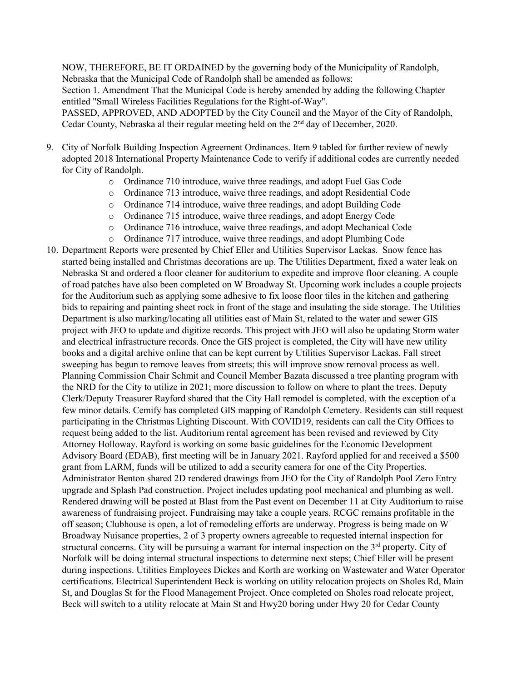NOW, THEREFORE, BE IT ORDAINED by the governing body of the Municipality of Randolph, Nebraska that the Municipal Code of Randolph shall be amended as follows:

Section 1. Amendment That the Municipal Code is hereby amended by adding the following Chapter entitled "Small Wireless Facilities Regulations for the Right-of-Way".

PASSED, APPROVED, AND ADOPTED by the City Council and the Mayor of the City of Randolph, Cedar County, Nebraska al their regular meeting held on the 2nd day of December, 2020.

- 9. City of Norfolk Building Inspection Agreement Ordinances. Item 9 tabled for further review of newly adopted 2018 International Property Maintenance Code to verify if additional codes are currently needed for City of Randolph.
	- o Ordinance 710 introduce, waive three readings, and adopt Fuel Gas Code
	- o Ordinance 713 introduce, waive three readings, and adopt Residential Code
	- o Ordinance 714 introduce, waive three readings, and adopt Building Code
	- o Ordinance 715 introduce, waive three readings, and adopt Energy Code
	- o Ordinance 716 introduce, waive three readings, and adopt Mechanical Code
	- o Ordinance 717 introduce, waive three readings, and adopt Plumbing Code
- 10. Department Reports were presented by Chief Eller and Utilities Supervisor Lackas. Snow fence has started being installed and Christmas decorations are up. The Utilities Department, fixed a water leak on Nebraska St and ordered a floor cleaner for auditorium to expedite and improve floor cleaning. A couple of road patches have also been completed on W Broadway St. Upcoming work includes a couple projects for the Auditorium such as applying some adhesive to fix loose floor tiles in the kitchen and gathering bids to repairing and painting sheet rock in front of the stage and insulating the side storage. The Utilities Department is also marking/locating all utilities east of Main St, related to the water and sewer GIS project with JEO to update and digitize records. This project with JEO will also be updating Storm water and electrical infrastructure records. Once the GIS project is completed, the City will have new utility books and a digital archive online that can be kept current by Utilities Supervisor Lackas. Fall street sweeping has begun to remove leaves from streets; this will improve snow removal process as well. Planning Commission Chair Schmit and Council Member Bazata discussed a tree planting program with the NRD for the City to utilize in 2021; more discussion to follow on where to plant the trees. Deputy Clerk/Deputy Treasurer Rayford shared that the City Hall remodel is completed, with the exception of a few minor details. Cemify has completed GIS mapping of Randolph Cemetery. Residents can still request participating in the Christmas Lighting Discount. With COVID19, residents can call the City Offices to request being added to the list. Auditorium rental agreement has been revised and reviewed by City Attorney Holloway. Rayford is working on some basic guidelines for the Economic Development Advisory Board (EDAB), first meeting will be in January 2021. Rayford applied for and received a \$500 grant from LARM, funds will be utilized to add a security camera for one of the City Properties. Administrator Benton shared 2D rendered drawings from JEO for the City of Randolph Pool Zero Entry upgrade and Splash Pad construction. Project includes updating pool mechanical and plumbing as well. Rendered drawing will be posted at Blast from the Past event on December 11 at City Auditorium to raise awareness of fundraising project. Fundraising may take a couple years. RCGC remains profitable in the off season; Clubhouse is open, a lot of remodeling efforts are underway. Progress is being made on W Broadway Nuisance properties, 2 of 3 property owners agreeable to requested internal inspection for structural concerns. City will be pursuing a warrant for internal inspection on the 3<sup>rd</sup> property. City of Norfolk will be doing internal structural inspections to determine next steps; Chief Eller will be present during inspections. Utilities Employees Dickes and Korth are working on Wastewater and Water Operator certifications. Electrical Superintendent Beck is working on utility relocation projects on Sholes Rd, Main St, and Douglas St for the Flood Management Project. Once completed on Sholes road relocate project, Beck will switch to a utility relocate at Main St and Hwy20 boring under Hwy 20 for Cedar County